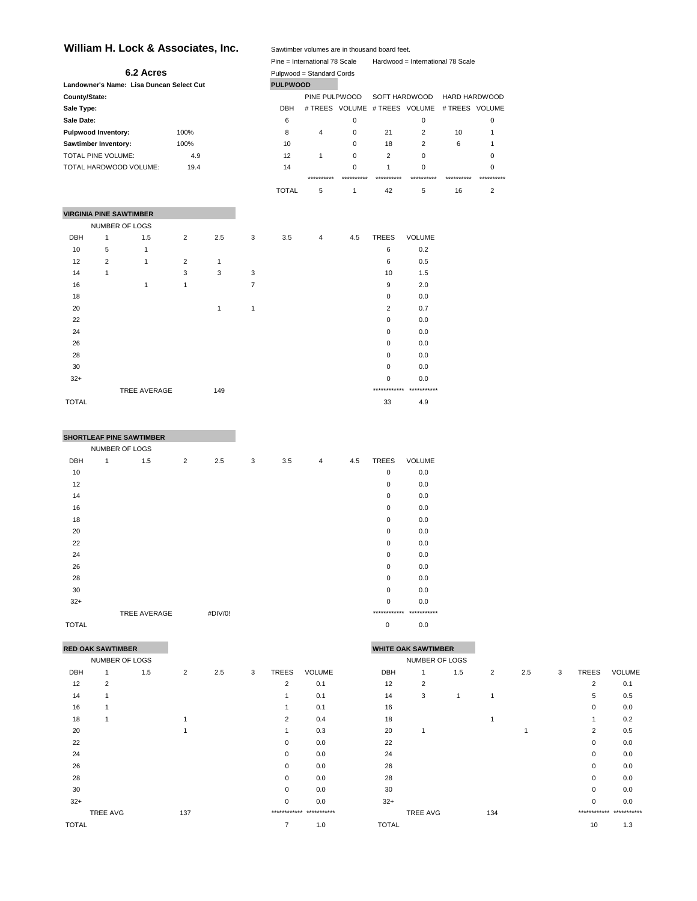# William H. Lock & Associates, Inc.

|               |                                | William H. Lock & Associates, Inc.       |                |     |                |                 | Sawtimber volumes are in thousand board feet. |             |                               |                                   |                      |                |
|---------------|--------------------------------|------------------------------------------|----------------|-----|----------------|-----------------|-----------------------------------------------|-------------|-------------------------------|-----------------------------------|----------------------|----------------|
|               |                                |                                          |                |     |                |                 | Pine = International 78 Scale                 |             |                               | Hardwood = International 78 Scale |                      |                |
|               |                                | 6.2 Acres                                |                |     |                |                 | Pulpwood = Standard Cords                     |             |                               |                                   |                      |                |
|               |                                | Landowner's Name: Lisa Duncan Select Cut |                |     |                | <b>PULPWOOD</b> |                                               |             |                               |                                   |                      |                |
| County/State: |                                |                                          |                |     |                |                 | PINE PULPWOOD                                 |             | SOFT HARDWOOD                 |                                   | <b>HARD HARDWOOD</b> |                |
| Sale Type:    |                                |                                          |                |     |                | <b>DBH</b>      |                                               |             | # TREES VOLUME # TREES VOLUME |                                   | # TREES VOLUME       |                |
| Sale Date:    |                                |                                          |                |     |                | 6               |                                               | 0           |                               | 0                                 |                      | 0              |
|               | <b>Pulpwood Inventory:</b>     |                                          | 100%           |     |                | 8               | $\overline{4}$                                | $\mathbf 0$ | 21                            | $\overline{2}$                    | 10                   | 1              |
|               | Sawtimber Inventory:           |                                          | 100%           |     |                | 10              |                                               | 0           | 18                            | $\overline{2}$                    | 6                    | 1              |
|               | TOTAL PINE VOLUME:             |                                          | 4.9            |     |                | 12              | $\mathbf{1}$                                  | $\mathbf 0$ | $\overline{2}$                | 0                                 |                      | 0              |
|               |                                | TOTAL HARDWOOD VOLUME:                   | 19.4           |     |                | 14              |                                               | 0           | 1                             | 0                                 |                      | 0              |
|               |                                |                                          |                |     |                |                 | **********                                    | **********  |                               |                                   |                      | **********     |
|               |                                |                                          |                |     |                | <b>TOTAL</b>    | 5                                             | 1           | 42                            | 5                                 | 16                   | $\overline{2}$ |
|               | <b>VIRGINIA PINE SAWTIMBER</b> |                                          |                |     |                |                 |                                               |             |                               |                                   |                      |                |
|               | NUMBER OF LOGS                 |                                          |                |     |                |                 |                                               |             |                               |                                   |                      |                |
| <b>DBH</b>    | 1                              | 1.5                                      | $\overline{2}$ | 2.5 | 3              | 3.5             | 4                                             | 4.5         | <b>TREES</b>                  | VOLUME                            |                      |                |
| 10            | 5                              | $\mathbf{1}$                             |                |     |                |                 |                                               |             | 6                             | 0.2                               |                      |                |
| 12            | $\overline{2}$                 | 1                                        | 2              | 1   |                |                 |                                               |             | 6                             | 0.5                               |                      |                |
| 14            | 1                              |                                          | 3              | 3   | 3              |                 |                                               |             | 10                            | 1.5                               |                      |                |
| 16            |                                | $\mathbf{1}$                             | $\mathbf{1}$   |     | $\overline{7}$ |                 |                                               |             | 9                             | 2.0                               |                      |                |
| 18            |                                |                                          |                |     |                |                 |                                               |             | 0                             | 0.0                               |                      |                |
| 20            |                                |                                          |                | 1   | $\mathbf{1}$   |                 |                                               |             | 2                             | 0.7                               |                      |                |
| 22            |                                |                                          |                |     |                |                 |                                               |             | 0                             | 0.0                               |                      |                |
| 24            |                                |                                          |                |     |                |                 |                                               |             | 0                             | 0.0                               |                      |                |
| 26            |                                |                                          |                |     |                |                 |                                               |             | 0                             | 0.0                               |                      |                |
| 28            |                                |                                          |                |     |                |                 |                                               |             | 0                             | 0.0                               |                      |                |
| 30            |                                |                                          |                |     |                |                 |                                               |             | 0                             | 0.0                               |                      |                |
| $32+$         |                                |                                          |                |     |                |                 |                                               |             | 0                             | 0.0                               |                      |                |
|               |                                | <b>TREE AVERAGE</b>                      |                | 149 |                |                 |                                               |             |                               | ************* ***********         |                      |                |

## **SHORTLEAF PINE SAWTIMBER**

|              | NUMBER OF LOGS |              |                |         |   |     |                |     |              |               |
|--------------|----------------|--------------|----------------|---------|---|-----|----------------|-----|--------------|---------------|
| DBH          | 1              | 1.5          | $\overline{2}$ | 2.5     | 3 | 3.5 | $\overline{4}$ | 4.5 | <b>TREES</b> | <b>VOLUME</b> |
| 10           |                |              |                |         |   |     |                |     | $\mathbf 0$  | 0.0           |
| 12           |                |              |                |         |   |     |                |     | $\mathbf 0$  | 0.0           |
| 14           |                |              |                |         |   |     |                |     | 0            | 0.0           |
| 16           |                |              |                |         |   |     |                |     | 0            | 0.0           |
| 18           |                |              |                |         |   |     |                |     | $\mathbf 0$  | 0.0           |
| 20           |                |              |                |         |   |     |                |     | 0            | 0.0           |
| 22           |                |              |                |         |   |     |                |     | 0            | 0.0           |
| 24           |                |              |                |         |   |     |                |     | $\mathbf 0$  | 0.0           |
| 26           |                |              |                |         |   |     |                |     | $\mathbf 0$  | 0.0           |
| 28           |                |              |                |         |   |     |                |     | 0            | 0.0           |
| 30           |                |              |                |         |   |     |                |     | 0            | 0.0           |
| $32+$        |                |              |                |         |   |     |                |     | $\mathbf 0$  | 0.0           |
|              |                | TREE AVERAGE |                | #DIV/0! |   |     |                |     | ************ | ***********   |
| <b>TOTAL</b> |                |              |                |         |   |     |                |     | $\mathbf 0$  | 0.0           |

 $\blacksquare$  33 4.9

| <b>WHITE OAK SAWTIMBER</b> | RED OAK SAWTIMBER |
|----------------------------|-------------------|
|----------------------------|-------------------|

|       | NUMBER OF LOGS |     |                |     |   |                |                           | NUMBER OF LOGS |                 |     |     |     |              |              |                         |
|-------|----------------|-----|----------------|-----|---|----------------|---------------------------|----------------|-----------------|-----|-----|-----|--------------|--------------|-------------------------|
| DBH   |                | 1.5 | $\overline{2}$ | 2.5 | 3 | TREES          | <b>VOLUME</b>             | DBH            |                 | 1.5 | 2   | 2.5 | $\mathbf{3}$ | <b>TREES</b> | <b>VOLUME</b>           |
| 12    | 2              |     |                |     |   | 2              | 0.1                       | 12             | $\overline{2}$  |     |     |     |              | 2            | 0.1                     |
| 14    |                |     |                |     |   |                | 0.1                       | 14             | 3               |     |     |     |              | 5            | 0.5                     |
| 16    |                |     |                |     |   |                | 0.1                       | 16             |                 |     |     |     |              | 0            | 0.0                     |
| 18    |                |     |                |     |   | 2              | 0.4                       | 18             |                 |     |     |     |              |              | 0.2                     |
| 20    |                |     |                |     |   | 1              | 0.3                       | 20             |                 |     |     |     |              | 2            | 0.5                     |
| 22    |                |     |                |     |   | 0              | 0.0                       | 22             |                 |     |     |     |              | $\mathbf 0$  | 0.0                     |
| 24    |                |     |                |     |   | 0              | 0.0                       | 24             |                 |     |     |     |              | 0            | 0.0                     |
| 26    |                |     |                |     |   | 0              | 0.0                       | 26             |                 |     |     |     |              | $\mathbf 0$  | 0.0                     |
| 28    |                |     |                |     |   | 0              | 0.0                       | 28             |                 |     |     |     |              | $\Omega$     | 0.0                     |
| 30    |                |     |                |     |   | 0              | 0.0                       | 30             |                 |     |     |     |              | 0            | 0.0                     |
| $32+$ |                |     |                |     |   | 0              | 0.0                       | $32+$          |                 |     |     |     |              | 0            | 0.0                     |
|       | TREE AVG       |     | 137            |     |   |                | ************* *********** |                | <b>TREE AVG</b> |     | 134 |     |              |              | ************ ********** |
| TOTAL |                |     |                |     |   | $\overline{7}$ | 1.0                       | <b>TOTAL</b>   |                 |     |     |     |              | 10           | 1.3                     |

| U                         | 0.0                    |  |  |  |  |  |  |  |  |  |  |
|---------------------------|------------------------|--|--|--|--|--|--|--|--|--|--|
|                           | ********** *********** |  |  |  |  |  |  |  |  |  |  |
| U                         | 0.0                    |  |  |  |  |  |  |  |  |  |  |
|                           |                        |  |  |  |  |  |  |  |  |  |  |
| <b>HITE OAK SAWTIMBER</b> |                        |  |  |  |  |  |  |  |  |  |  |
|                           |                        |  |  |  |  |  |  |  |  |  |  |

| NUMBER OF LOGS |     |                |     |   |                |                          |              | NUMBER OF LOGS  |     |                |     |   |                |                         |
|----------------|-----|----------------|-----|---|----------------|--------------------------|--------------|-----------------|-----|----------------|-----|---|----------------|-------------------------|
|                | 1.5 | $\overline{2}$ | 2.5 | 3 | TREES          | <b>VOLUME</b>            | DBH          | 1               | 1.5 | $\overline{2}$ | 2.5 | 3 | TREES          | VOLUME                  |
| $\mathcal{P}$  |     |                |     |   | 2              | 0.1                      | 12           | 2               |     |                |     |   | 2              | 0.1                     |
|                |     |                |     |   |                | 0.1                      | 14           | 3               |     | 1              |     |   | 5              | 0.5                     |
|                |     |                |     |   |                | 0.1                      | 16           |                 |     |                |     |   | $\mathbf 0$    | 0.0                     |
|                |     |                |     |   | 2              | 0.4                      | 18           |                 |     |                |     |   |                | 0.2                     |
|                |     |                |     |   |                | 0.3                      | 20           |                 |     |                |     |   | $\overline{2}$ | 0.5                     |
|                |     |                |     |   | 0              | 0.0                      | 22           |                 |     |                |     |   | $\mathbf 0$    | 0.0                     |
|                |     |                |     |   | 0              | 0.0                      | 24           |                 |     |                |     |   | 0              | 0.0                     |
|                |     |                |     |   | 0              | 0.0                      | 26           |                 |     |                |     |   | 0              | 0.0                     |
|                |     |                |     |   | 0              | 0.0                      | 28           |                 |     |                |     |   | $\mathbf 0$    | 0.0                     |
|                |     |                |     |   | 0              | 0.0                      | 30           |                 |     |                |     |   | $\mathbf 0$    | 0.0                     |
|                |     |                |     |   | 0              | 0.0                      | $32+$        |                 |     |                |     |   | 0              | 0.0                     |
| TREE AVG       |     | 137            |     |   |                | ************ *********** |              | <b>TREE AVG</b> |     | 134            |     |   |                | ************ ********** |
|                |     |                |     |   | $\overline{7}$ | 1.0                      | <b>TOTAL</b> |                 |     |                |     |   | 10             | 1.3                     |
|                |     |                |     |   |                |                          |              |                 |     |                |     |   |                |                         |